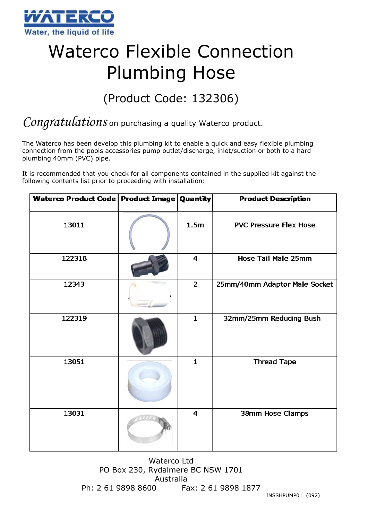

## Waterco Flexible Connection Plumbing Hose

## (Product Code: 132306)

## *Congratulations* on purchasing a quality Waterco product.

The Waterco has been develop this plumbing kit to enable a quick and easy flexible plumbing connection from the pools accessories pump outlet/discharge, inlet/suction or both to a hard plumbing 40mm (PVC) pipe.

It is recommended that you check for all components contained in the supplied kit against the following contents list prior to proceeding with installation:

| Waterco Product Code   Product Image   Quantity |                         | <b>Product Description</b>    |
|-------------------------------------------------|-------------------------|-------------------------------|
| 13011                                           | 1.5 <sub>m</sub>        | <b>PVC Pressure Flex Hose</b> |
| 122318                                          | $\overline{4}$          | Hose Tail Male 25mm           |
| 12343                                           | $\overline{2}$          | 25mm/40mm Adaptor Male Socket |
| 122319                                          | $\mathbf{1}$            | 32mm/25mm Reducing Bush       |
| 13051                                           | $\mathbf{1}$            | <b>Thread Tape</b>            |
| 13031                                           | $\overline{\mathbf{4}}$ | 38mm Hose Clamps              |

Waterco Ltd PO Box 230, Rydalmere BC NSW 1701 Australia Ph: 2 61 9898 8600 Fax: 2 61 9898 1877